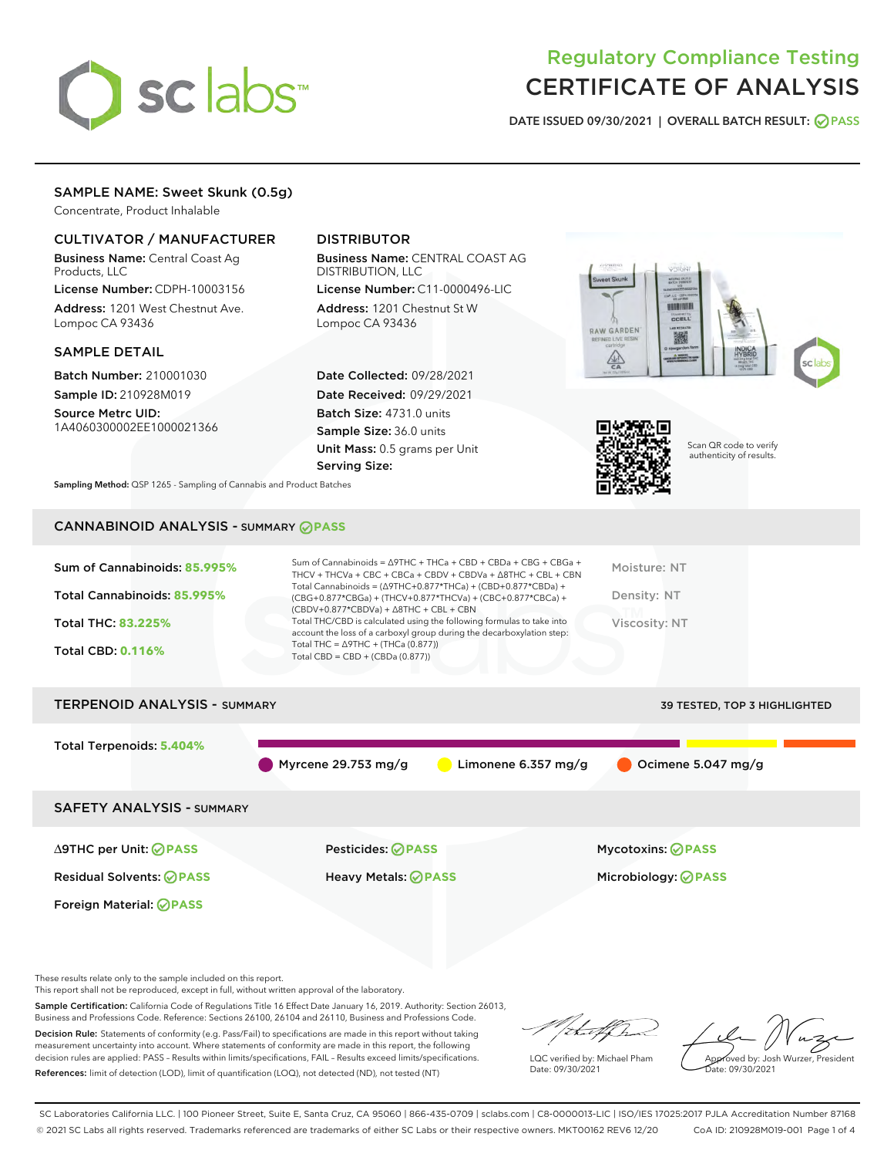

# Regulatory Compliance Testing CERTIFICATE OF ANALYSIS

DATE ISSUED 09/30/2021 | OVERALL BATCH RESULT: @ PASS

# SAMPLE NAME: Sweet Skunk (0.5g)

Concentrate, Product Inhalable

# CULTIVATOR / MANUFACTURER

Business Name: Central Coast Ag Products, LLC

License Number: CDPH-10003156 Address: 1201 West Chestnut Ave. Lompoc CA 93436

#### SAMPLE DETAIL

Batch Number: 210001030 Sample ID: 210928M019

Source Metrc UID: 1A4060300002EE1000021366

# DISTRIBUTOR

Business Name: CENTRAL COAST AG DISTRIBUTION, LLC

License Number: C11-0000496-LIC Address: 1201 Chestnut St W Lompoc CA 93436

Date Collected: 09/28/2021 Date Received: 09/29/2021 Batch Size: 4731.0 units Sample Size: 36.0 units Unit Mass: 0.5 grams per Unit Serving Size:





Scan QR code to verify authenticity of results.

Sampling Method: QSP 1265 - Sampling of Cannabis and Product Batches

# CANNABINOID ANALYSIS - SUMMARY **PASS**

| Sum of Cannabinoids: 85.995%<br>Total Cannabinoids: 85.995%<br><b>Total THC: 83.225%</b><br><b>Total CBD: 0.116%</b> | Sum of Cannabinoids = $\triangle$ 9THC + THCa + CBD + CBDa + CBG + CBGa +<br>THCV + THCVa + CBC + CBCa + CBDV + CBDVa + $\Delta$ 8THC + CBL + CBN<br>Total Cannabinoids = $(\Delta$ 9THC+0.877*THCa) + (CBD+0.877*CBDa) +<br>(CBG+0.877*CBGa) + (THCV+0.877*THCVa) + (CBC+0.877*CBCa) +<br>$(CBDV+0.877*CBDVa) + \Delta 8THC + CBL + CBN$<br>Total THC/CBD is calculated using the following formulas to take into<br>account the loss of a carboxyl group during the decarboxylation step:<br>Total THC = $\triangle$ 9THC + (THCa (0.877))<br>Total CBD = $CBD + (CBDa (0.877))$ | Moisture: NT<br>Density: NT<br>Viscosity: NT |
|----------------------------------------------------------------------------------------------------------------------|------------------------------------------------------------------------------------------------------------------------------------------------------------------------------------------------------------------------------------------------------------------------------------------------------------------------------------------------------------------------------------------------------------------------------------------------------------------------------------------------------------------------------------------------------------------------------------|----------------------------------------------|
| <b>TERPENOID ANALYSIS - SUMMARY</b>                                                                                  |                                                                                                                                                                                                                                                                                                                                                                                                                                                                                                                                                                                    | 39 TESTED, TOP 3 HIGHLIGHTED                 |
| Total Terpenoids: 5.404%                                                                                             |                                                                                                                                                                                                                                                                                                                                                                                                                                                                                                                                                                                    |                                              |

Myrcene 29.753 mg/g  $\bigcirc$  Limonene 6.357 mg/g  $\bigcirc$  Ocimene 5.047 mg/g

SAFETY ANALYSIS - SUMMARY

∆9THC per Unit: **PASS** Pesticides: **PASS** Mycotoxins: **PASS**

Foreign Material: **PASS**

Residual Solvents: **PASS** Heavy Metals: **PASS** Microbiology: **PASS**

These results relate only to the sample included on this report.

This report shall not be reproduced, except in full, without written approval of the laboratory.

Sample Certification: California Code of Regulations Title 16 Effect Date January 16, 2019. Authority: Section 26013, Business and Professions Code. Reference: Sections 26100, 26104 and 26110, Business and Professions Code.

Decision Rule: Statements of conformity (e.g. Pass/Fail) to specifications are made in this report without taking measurement uncertainty into account. Where statements of conformity are made in this report, the following decision rules are applied: PASS – Results within limits/specifications, FAIL – Results exceed limits/specifications. References: limit of detection (LOD), limit of quantification (LOQ), not detected (ND), not tested (NT)

that fCh

LQC verified by: Michael Pham Date: 09/30/2021

Approved by: Josh Wurzer, President ate: 09/30/2021

SC Laboratories California LLC. | 100 Pioneer Street, Suite E, Santa Cruz, CA 95060 | 866-435-0709 | sclabs.com | C8-0000013-LIC | ISO/IES 17025:2017 PJLA Accreditation Number 87168 © 2021 SC Labs all rights reserved. Trademarks referenced are trademarks of either SC Labs or their respective owners. MKT00162 REV6 12/20 CoA ID: 210928M019-001 Page 1 of 4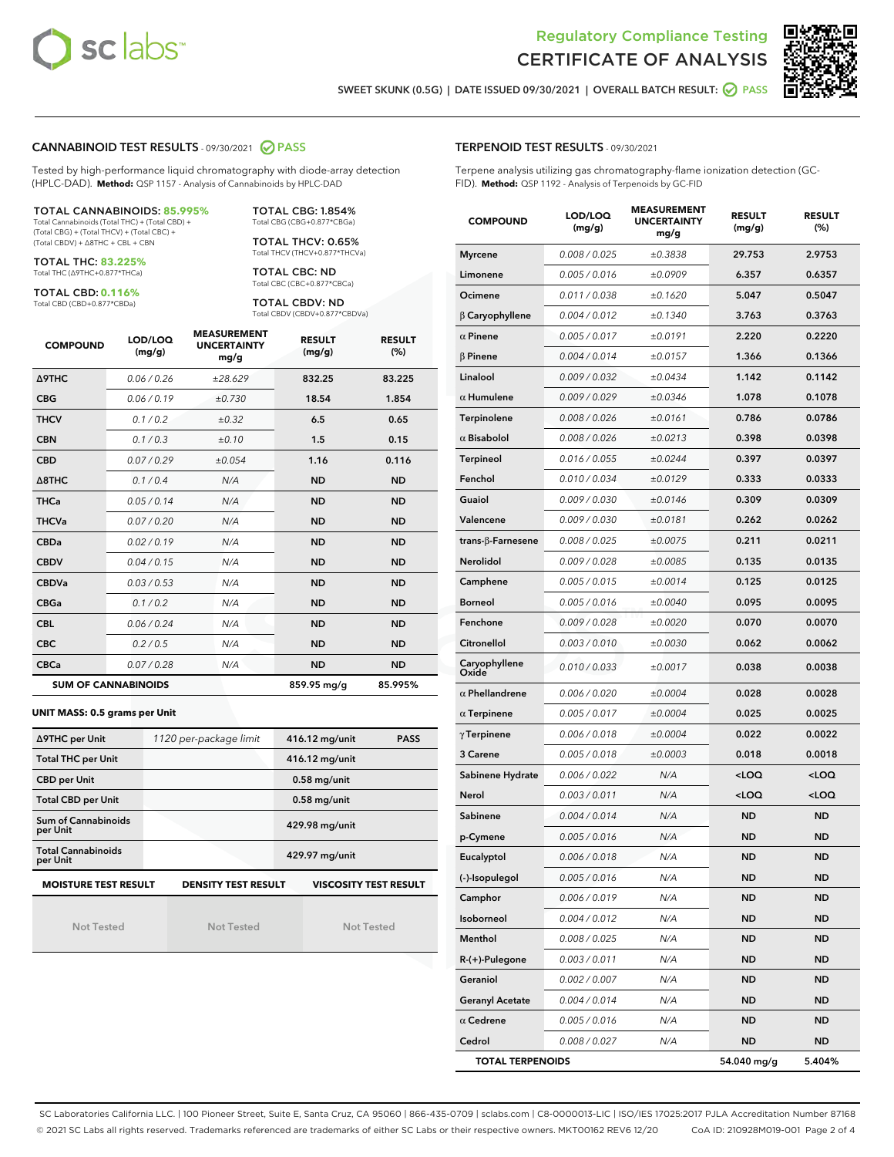



SWEET SKUNK (0.5G) | DATE ISSUED 09/30/2021 | OVERALL BATCH RESULT: ● PASS

#### CANNABINOID TEST RESULTS - 09/30/2021 2 PASS

Tested by high-performance liquid chromatography with diode-array detection (HPLC-DAD). **Method:** QSP 1157 - Analysis of Cannabinoids by HPLC-DAD

#### TOTAL CANNABINOIDS: **85.995%**

Total Cannabinoids (Total THC) + (Total CBD) + (Total CBG) + (Total THCV) + (Total CBC) + (Total CBDV) + ∆8THC + CBL + CBN

TOTAL THC: **83.225%** Total THC (∆9THC+0.877\*THCa)

TOTAL CBD: **0.116%**

Total CBD (CBD+0.877\*CBDa)

TOTAL CBG: 1.854% Total CBG (CBG+0.877\*CBGa)

TOTAL THCV: 0.65% Total THCV (THCV+0.877\*THCVa)

TOTAL CBC: ND Total CBC (CBC+0.877\*CBCa)

TOTAL CBDV: ND Total CBDV (CBDV+0.877\*CBDVa)

| <b>COMPOUND</b>            | LOD/LOQ<br>(mg/g) | <b>MEASUREMENT</b><br><b>UNCERTAINTY</b><br>mg/g | <b>RESULT</b><br>(mg/g) | <b>RESULT</b><br>(%) |
|----------------------------|-------------------|--------------------------------------------------|-------------------------|----------------------|
| <b>A9THC</b>               | 0.06 / 0.26       | ±28.629                                          | 832.25                  | 83.225               |
| <b>CBG</b>                 | 0.06/0.19         | ±0.730                                           | 18.54                   | 1.854                |
| <b>THCV</b>                | 0.1/0.2           | $\pm 0.32$                                       | 6.5                     | 0.65                 |
| <b>CBN</b>                 | 0.1/0.3           | ±0.10                                            | 1.5                     | 0.15                 |
| <b>CBD</b>                 | 0.07/0.29         | ±0.054                                           | 1.16                    | 0.116                |
| $\triangle$ 8THC           | 0.1/0.4           | N/A                                              | <b>ND</b>               | <b>ND</b>            |
| <b>THCa</b>                | 0.05/0.14         | N/A                                              | <b>ND</b>               | <b>ND</b>            |
| <b>THCVa</b>               | 0.07/0.20         | N/A                                              | <b>ND</b>               | <b>ND</b>            |
| <b>CBDa</b>                | 0.02/0.19         | N/A                                              | <b>ND</b>               | <b>ND</b>            |
| <b>CBDV</b>                | 0.04 / 0.15       | N/A                                              | <b>ND</b>               | <b>ND</b>            |
| <b>CBDVa</b>               | 0.03/0.53         | N/A                                              | <b>ND</b>               | <b>ND</b>            |
| <b>CBGa</b>                | 0.1/0.2           | N/A                                              | <b>ND</b>               | <b>ND</b>            |
| <b>CBL</b>                 | 0.06 / 0.24       | N/A                                              | <b>ND</b>               | <b>ND</b>            |
| <b>CBC</b>                 | 0.2 / 0.5         | N/A                                              | <b>ND</b>               | <b>ND</b>            |
| <b>CBCa</b>                | 0.07/0.28         | N/A                                              | <b>ND</b>               | <b>ND</b>            |
| <b>SUM OF CANNABINOIDS</b> |                   |                                                  | 859.95 mg/g             | 85.995%              |

#### **UNIT MASS: 0.5 grams per Unit**

| ∆9THC per Unit                                                                            | 1120 per-package limit | 416.12 mg/unit<br><b>PASS</b> |  |  |  |
|-------------------------------------------------------------------------------------------|------------------------|-------------------------------|--|--|--|
| <b>Total THC per Unit</b>                                                                 |                        | 416.12 mg/unit                |  |  |  |
| <b>CBD per Unit</b>                                                                       |                        | $0.58$ mg/unit                |  |  |  |
| <b>Total CBD per Unit</b>                                                                 |                        | $0.58$ mg/unit                |  |  |  |
| Sum of Cannabinoids<br>per Unit                                                           |                        | 429.98 mg/unit                |  |  |  |
| <b>Total Cannabinoids</b><br>per Unit                                                     |                        | 429.97 mg/unit                |  |  |  |
| <b>MOISTURE TEST RESULT</b><br><b>VISCOSITY TEST RESULT</b><br><b>DENSITY TEST RESULT</b> |                        |                               |  |  |  |

Not Tested

Not Tested

Not Tested

#### TERPENOID TEST RESULTS - 09/30/2021

Terpene analysis utilizing gas chromatography-flame ionization detection (GC-FID). **Method:** QSP 1192 - Analysis of Terpenoids by GC-FID

| <b>COMPOUND</b>          | LOD/LOQ<br>(mg/g) | <b>MEASUREMENT</b><br><b>UNCERTAINTY</b><br>mg/g | <b>RESULT</b><br>(mg/g)                         | <b>RESULT</b><br>(%) |
|--------------------------|-------------------|--------------------------------------------------|-------------------------------------------------|----------------------|
| <b>Myrcene</b>           | 0.008 / 0.025     | ±0.3838                                          | 29.753                                          | 2.9753               |
| Limonene                 | 0.005 / 0.016     | ±0.0909                                          | 6.357                                           | 0.6357               |
| Ocimene                  | 0.011 / 0.038     | ±0.1620                                          | 5.047                                           | 0.5047               |
| $\beta$ Caryophyllene    | 0.004 / 0.012     | ±0.1340                                          | 3.763                                           | 0.3763               |
| $\alpha$ Pinene          | 0.005 / 0.017     | ±0.0191                                          | 2.220                                           | 0.2220               |
| $\beta$ Pinene           | 0.004 / 0.014     | ±0.0157                                          | 1.366                                           | 0.1366               |
| Linalool                 | 0.009 / 0.032     | ±0.0434                                          | 1.142                                           | 0.1142               |
| $\alpha$ Humulene        | 0.009/0.029       | ±0.0346                                          | 1.078                                           | 0.1078               |
| Terpinolene              | 0.008 / 0.026     | ±0.0161                                          | 0.786                                           | 0.0786               |
| $\alpha$ Bisabolol       | 0.008 / 0.026     | ±0.0213                                          | 0.398                                           | 0.0398               |
| <b>Terpineol</b>         | 0.016 / 0.055     | ±0.0244                                          | 0.397                                           | 0.0397               |
| Fenchol                  | 0.010 / 0.034     | ±0.0129                                          | 0.333                                           | 0.0333               |
| Guaiol                   | 0.009 / 0.030     | ±0.0146                                          | 0.309                                           | 0.0309               |
| Valencene                | 0.009 / 0.030     | ±0.0181                                          | 0.262                                           | 0.0262               |
| $trans-\beta$ -Farnesene | 0.008 / 0.025     | ±0.0075                                          | 0.211                                           | 0.0211               |
| Nerolidol                | 0.009 / 0.028     | ±0.0085                                          | 0.135                                           | 0.0135               |
| Camphene                 | 0.005 / 0.015     | ±0.0014                                          | 0.125                                           | 0.0125               |
| <b>Borneol</b>           | 0.005 / 0.016     | ±0.0040                                          | 0.095                                           | 0.0095               |
| Fenchone                 | 0.009 / 0.028     | ±0.0020                                          | 0.070                                           | 0.0070               |
| Citronellol              | 0.003 / 0.010     | ±0.0030                                          | 0.062                                           | 0.0062               |
| Caryophyllene<br>Oxide   | 0.010 / 0.033     | ±0.0017                                          | 0.038                                           | 0.0038               |
| $\alpha$ Phellandrene    | 0.006 / 0.020     | ±0.0004                                          | 0.028                                           | 0.0028               |
| $\alpha$ Terpinene       | 0.005 / 0.017     | ±0.0004                                          | 0.025                                           | 0.0025               |
| $\gamma$ Terpinene       | 0.006 / 0.018     | ±0.0004                                          | 0.022                                           | 0.0022               |
| 3 Carene                 | 0.005 / 0.018     | ±0.0003                                          | 0.018                                           | 0.0018               |
| Sabinene Hydrate         | 0.006 / 0.022     | N/A                                              | $<$ LOQ                                         | <loq< th=""></loq<>  |
| Nerol                    | 0.003 / 0.011     | N/A                                              | <loq< th=""><th><loq< th=""></loq<></th></loq<> | <loq< th=""></loq<>  |
| Sabinene                 | 0.004 / 0.014     | N/A                                              | <b>ND</b>                                       | <b>ND</b>            |
| p-Cymene                 | 0.005 / 0.016     | N/A                                              | <b>ND</b>                                       | ND                   |
| Eucalyptol               | 0.006 / 0.018     | N/A                                              | <b>ND</b>                                       | <b>ND</b>            |
| (-)-Isopulegol           | 0.005 / 0.016     | N/A                                              | ND                                              | ND                   |
| Camphor                  | 0.006 / 0.019     | N/A                                              | ND                                              | ND                   |
| Isoborneol               | 0.004 / 0.012     | N/A                                              | ND                                              | ND                   |
| Menthol                  | 0.008 / 0.025     | N/A                                              | ND                                              | ND                   |
| R-(+)-Pulegone           | 0.003 / 0.011     | N/A                                              | ND                                              | ND                   |
| Geraniol                 | 0.002 / 0.007     | N/A                                              | ND                                              | ND                   |
| <b>Geranyl Acetate</b>   | 0.004 / 0.014     | N/A                                              | ND                                              | ND                   |
| $\alpha$ Cedrene         | 0.005 / 0.016     | N/A                                              | ND                                              | ND                   |
| Cedrol                   | 0.008 / 0.027     | N/A                                              | ND                                              | ND                   |
| <b>TOTAL TERPENOIDS</b>  |                   |                                                  | 54.040 mg/g                                     | 5.404%               |

SC Laboratories California LLC. | 100 Pioneer Street, Suite E, Santa Cruz, CA 95060 | 866-435-0709 | sclabs.com | C8-0000013-LIC | ISO/IES 17025:2017 PJLA Accreditation Number 87168 © 2021 SC Labs all rights reserved. Trademarks referenced are trademarks of either SC Labs or their respective owners. MKT00162 REV6 12/20 CoA ID: 210928M019-001 Page 2 of 4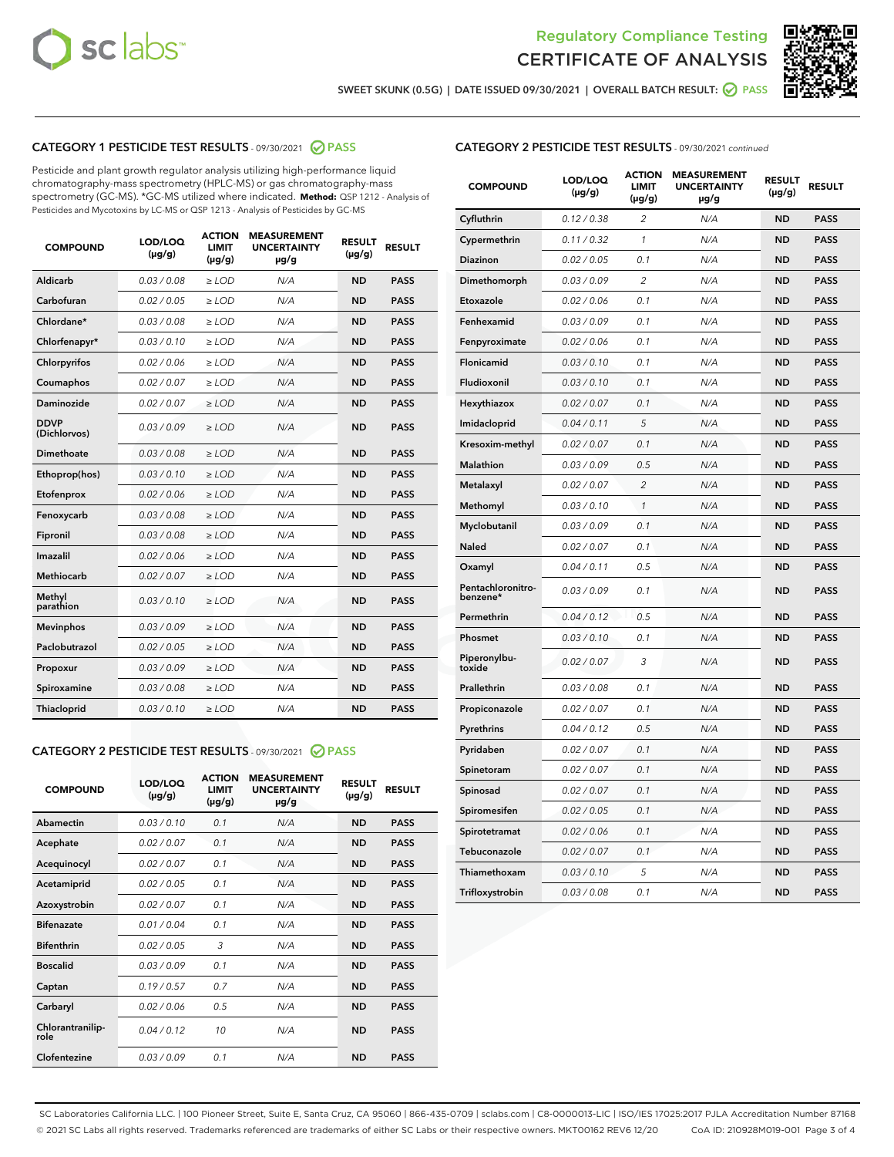



SWEET SKUNK (0.5G) | DATE ISSUED 09/30/2021 | OVERALL BATCH RESULT: ● PASS

# CATEGORY 1 PESTICIDE TEST RESULTS - 09/30/2021 2 PASS

Pesticide and plant growth regulator analysis utilizing high-performance liquid chromatography-mass spectrometry (HPLC-MS) or gas chromatography-mass spectrometry (GC-MS). \*GC-MS utilized where indicated. **Method:** QSP 1212 - Analysis of Pesticides and Mycotoxins by LC-MS or QSP 1213 - Analysis of Pesticides by GC-MS

| <b>COMPOUND</b>             | LOD/LOQ<br>$(\mu g/g)$ | <b>ACTION</b><br><b>LIMIT</b><br>$(\mu g/g)$ | <b>MEASUREMENT</b><br><b>UNCERTAINTY</b><br>µg/g | <b>RESULT</b><br>$(\mu g/g)$ | <b>RESULT</b> |
|-----------------------------|------------------------|----------------------------------------------|--------------------------------------------------|------------------------------|---------------|
| Aldicarb                    | 0.03/0.08              | $>$ LOD                                      | N/A                                              | <b>ND</b>                    | <b>PASS</b>   |
| Carbofuran                  | 0.02 / 0.05            | $\ge$ LOD                                    | N/A                                              | <b>ND</b>                    | <b>PASS</b>   |
| Chlordane*                  | 0.03/0.08              | $>$ LOD                                      | N/A                                              | <b>ND</b>                    | <b>PASS</b>   |
| Chlorfenapyr*               | 0.03 / 0.10            | $\ge$ LOD                                    | N/A                                              | <b>ND</b>                    | <b>PASS</b>   |
| Chlorpyrifos                | 0.02 / 0.06            | $\ge$ LOD                                    | N/A                                              | <b>ND</b>                    | <b>PASS</b>   |
| Coumaphos                   | 0.02 / 0.07            | $\ge$ LOD                                    | N/A                                              | <b>ND</b>                    | <b>PASS</b>   |
| Daminozide                  | 0.02 / 0.07            | $\ge$ LOD                                    | N/A                                              | <b>ND</b>                    | <b>PASS</b>   |
| <b>DDVP</b><br>(Dichlorvos) | 0.03/0.09              | $\ge$ LOD                                    | N/A                                              | <b>ND</b>                    | <b>PASS</b>   |
| <b>Dimethoate</b>           | 0.03/0.08              | $\ge$ LOD                                    | N/A                                              | <b>ND</b>                    | <b>PASS</b>   |
| Ethoprop(hos)               | 0.03/0.10              | $\ge$ LOD                                    | N/A                                              | <b>ND</b>                    | <b>PASS</b>   |
| Etofenprox                  | 0.02 / 0.06            | $\ge$ LOD                                    | N/A                                              | <b>ND</b>                    | <b>PASS</b>   |
| Fenoxycarb                  | 0.03 / 0.08            | $\ge$ LOD                                    | N/A                                              | <b>ND</b>                    | <b>PASS</b>   |
| Fipronil                    | 0.03/0.08              | $>$ LOD                                      | N/A                                              | <b>ND</b>                    | <b>PASS</b>   |
| Imazalil                    | 0.02 / 0.06            | $\ge$ LOD                                    | N/A                                              | <b>ND</b>                    | <b>PASS</b>   |
| Methiocarb                  | 0.02 / 0.07            | $\ge$ LOD                                    | N/A                                              | <b>ND</b>                    | <b>PASS</b>   |
| Methyl<br>parathion         | 0.03/0.10              | $\ge$ LOD                                    | N/A                                              | <b>ND</b>                    | <b>PASS</b>   |
| <b>Mevinphos</b>            | 0.03/0.09              | $\ge$ LOD                                    | N/A                                              | <b>ND</b>                    | <b>PASS</b>   |
| Paclobutrazol               | 0.02 / 0.05            | $>$ LOD                                      | N/A                                              | <b>ND</b>                    | <b>PASS</b>   |
| Propoxur                    | 0.03/0.09              | $\ge$ LOD                                    | N/A                                              | <b>ND</b>                    | <b>PASS</b>   |
| Spiroxamine                 | 0.03 / 0.08            | $\ge$ LOD                                    | N/A                                              | <b>ND</b>                    | <b>PASS</b>   |
| Thiacloprid                 | 0.03/0.10              | $\ge$ LOD                                    | N/A                                              | <b>ND</b>                    | <b>PASS</b>   |

#### CATEGORY 2 PESTICIDE TEST RESULTS - 09/30/2021 @ PASS

| <b>COMPOUND</b>          | LOD/LOQ<br>$(\mu g/g)$ | <b>ACTION</b><br><b>LIMIT</b><br>$(\mu g/g)$ | <b>MEASUREMENT</b><br><b>UNCERTAINTY</b><br>$\mu$ g/g | <b>RESULT</b><br>$(\mu g/g)$ | <b>RESULT</b> |
|--------------------------|------------------------|----------------------------------------------|-------------------------------------------------------|------------------------------|---------------|
| Abamectin                | 0.03/0.10              | 0.1                                          | N/A                                                   | <b>ND</b>                    | <b>PASS</b>   |
| Acephate                 | 0.02/0.07              | 0.1                                          | N/A                                                   | <b>ND</b>                    | <b>PASS</b>   |
| Acequinocyl              | 0.02/0.07              | 0.1                                          | N/A                                                   | <b>ND</b>                    | <b>PASS</b>   |
| Acetamiprid              | 0.02/0.05              | 0.1                                          | N/A                                                   | <b>ND</b>                    | <b>PASS</b>   |
| Azoxystrobin             | 0.02/0.07              | 0.1                                          | N/A                                                   | <b>ND</b>                    | <b>PASS</b>   |
| <b>Bifenazate</b>        | 0.01/0.04              | 0.1                                          | N/A                                                   | <b>ND</b>                    | <b>PASS</b>   |
| <b>Bifenthrin</b>        | 0.02 / 0.05            | 3                                            | N/A                                                   | <b>ND</b>                    | <b>PASS</b>   |
| <b>Boscalid</b>          | 0.03/0.09              | 0.1                                          | N/A                                                   | <b>ND</b>                    | <b>PASS</b>   |
| Captan                   | 0.19/0.57              | 0.7                                          | N/A                                                   | <b>ND</b>                    | <b>PASS</b>   |
| Carbaryl                 | 0.02/0.06              | 0.5                                          | N/A                                                   | <b>ND</b>                    | <b>PASS</b>   |
| Chlorantranilip-<br>role | 0.04/0.12              | 10                                           | N/A                                                   | <b>ND</b>                    | <b>PASS</b>   |
| Clofentezine             | 0.03/0.09              | 0.1                                          | N/A                                                   | <b>ND</b>                    | <b>PASS</b>   |

|  | <b>CATEGORY 2 PESTICIDE TEST RESULTS</b> - 09/30/2021 continued |  |
|--|-----------------------------------------------------------------|--|
|--|-----------------------------------------------------------------|--|

| <b>COMPOUND</b>               | LOD/LOQ<br>(µg/g) | <b>ACTION</b><br><b>LIMIT</b><br>$(\mu g/g)$ | <b>MEASUREMENT</b><br><b>UNCERTAINTY</b><br>µg/g | <b>RESULT</b><br>(µg/g) | <b>RESULT</b> |
|-------------------------------|-------------------|----------------------------------------------|--------------------------------------------------|-------------------------|---------------|
| Cyfluthrin                    | 0.12 / 0.38       | $\overline{2}$                               | N/A                                              | <b>ND</b>               | <b>PASS</b>   |
| Cypermethrin                  | 0.11 / 0.32       | $\mathbf{1}$                                 | N/A                                              | <b>ND</b>               | <b>PASS</b>   |
| Diazinon                      | 0.02 / 0.05       | 0.1                                          | N/A                                              | <b>ND</b>               | PASS          |
| Dimethomorph                  | 0.03 / 0.09       | $\overline{2}$                               | N/A                                              | <b>ND</b>               | <b>PASS</b>   |
| Etoxazole                     | 0.02 / 0.06       | 0.1                                          | N/A                                              | ND                      | <b>PASS</b>   |
| Fenhexamid                    | 0.03 / 0.09       | 0.1                                          | N/A                                              | ND                      | <b>PASS</b>   |
| Fenpyroximate                 | 0.02 / 0.06       | 0.1                                          | N/A                                              | <b>ND</b>               | <b>PASS</b>   |
| <b>Flonicamid</b>             | 0.03 / 0.10       | 0.1                                          | N/A                                              | <b>ND</b>               | <b>PASS</b>   |
| Fludioxonil                   | 0.03 / 0.10       | 0.1                                          | N/A                                              | <b>ND</b>               | <b>PASS</b>   |
| Hexythiazox                   | 0.02 / 0.07       | 0.1                                          | N/A                                              | ND                      | <b>PASS</b>   |
| Imidacloprid                  | 0.04 / 0.11       | 5                                            | N/A                                              | <b>ND</b>               | <b>PASS</b>   |
| Kresoxim-methyl               | 0.02 / 0.07       | 0.1                                          | N/A                                              | ND                      | <b>PASS</b>   |
| <b>Malathion</b>              | 0.03 / 0.09       | 0.5                                          | N/A                                              | <b>ND</b>               | <b>PASS</b>   |
| Metalaxyl                     | 0.02 / 0.07       | $\overline{2}$                               | N/A                                              | <b>ND</b>               | <b>PASS</b>   |
| Methomyl                      | 0.03 / 0.10       | $\mathbf{1}$                                 | N/A                                              | <b>ND</b>               | PASS          |
| Myclobutanil                  | 0.03 / 0.09       | 0.1                                          | N/A                                              | <b>ND</b>               | <b>PASS</b>   |
| Naled                         | 0.02 / 0.07       | 0.1                                          | N/A                                              | ND                      | <b>PASS</b>   |
| Oxamyl                        | 0.04 / 0.11       | 0.5                                          | N/A                                              | ND                      | <b>PASS</b>   |
| Pentachloronitro-<br>benzene* | 0.03 / 0.09       | 0.1                                          | N/A                                              | <b>ND</b>               | <b>PASS</b>   |
| Permethrin                    | 0.04 / 0.12       | 0.5                                          | N/A                                              | ND                      | <b>PASS</b>   |
| Phosmet                       | 0.03 / 0.10       | 0.1                                          | N/A                                              | <b>ND</b>               | PASS          |
| Piperonylbu-<br>toxide        | 0.02 / 0.07       | 3                                            | N/A                                              | <b>ND</b>               | <b>PASS</b>   |
| Prallethrin                   | 0.03 / 0.08       | 0.1                                          | N/A                                              | <b>ND</b>               | <b>PASS</b>   |
| Propiconazole                 | 0.02 / 0.07       | 0.1                                          | N/A                                              | <b>ND</b>               | <b>PASS</b>   |
| Pyrethrins                    | 0.04 / 0.12       | 0.5                                          | N/A                                              | ND                      | <b>PASS</b>   |
| Pyridaben                     | 0.02 / 0.07       | 0.1                                          | N/A                                              | ND                      | <b>PASS</b>   |
| Spinetoram                    | 0.02 / 0.07       | 0.1                                          | N/A                                              | <b>ND</b>               | <b>PASS</b>   |
| Spinosad                      | 0.02 / 0.07       | 0.1                                          | N/A                                              | ND                      | <b>PASS</b>   |
| Spiromesifen                  | 0.02 / 0.05       | 0.1                                          | N/A                                              | ND                      | <b>PASS</b>   |
| Spirotetramat                 | 0.02 / 0.06       | 0.1                                          | N/A                                              | <b>ND</b>               | <b>PASS</b>   |
| Tebuconazole                  | 0.02 / 0.07       | 0.1                                          | N/A                                              | ND                      | <b>PASS</b>   |
| Thiamethoxam                  | 0.03 / 0.10       | 5                                            | N/A                                              | <b>ND</b>               | <b>PASS</b>   |
| Trifloxystrobin               | 0.03 / 0.08       | 0.1                                          | N/A                                              | <b>ND</b>               | <b>PASS</b>   |

SC Laboratories California LLC. | 100 Pioneer Street, Suite E, Santa Cruz, CA 95060 | 866-435-0709 | sclabs.com | C8-0000013-LIC | ISO/IES 17025:2017 PJLA Accreditation Number 87168 © 2021 SC Labs all rights reserved. Trademarks referenced are trademarks of either SC Labs or their respective owners. MKT00162 REV6 12/20 CoA ID: 210928M019-001 Page 3 of 4